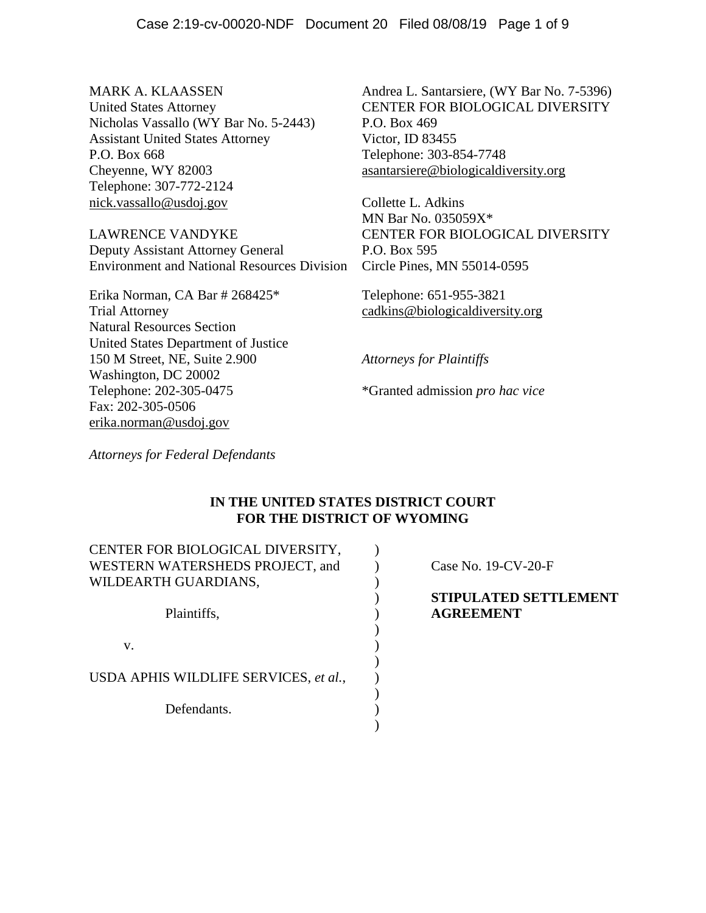Nicholas Vassallo (WY Bar No. 5-2443) P.O. Box 469 Assistant United States Attorney Victor, ID 83455 P.O. Box 668 Telephone: 303-854-7748 Cheyenne, WY 82003 asantarsiere@biologicaldiversity.org Telephone: 307-772-2124 nick.vassallo@usdoj.gov Collette L. Adkins

LAWRENCE VANDYKE CENTER FOR BIOLOGICAL DIVERSITY Deputy Assistant Attorney General P.O. Box 595 Environment and National Resources Division Circle Pines, MN 55014-0595

Erika Norman, CA Bar # 268425\* Telephone: 651-955-3821 Trial Attorney cadkins@biologicaldiversity.org Natural Resources Section United States Department of Justice 150 M Street, NE, Suite 2.900 *Attorneys for Plaintiffs* Washington, DC 20002 Telephone: 202-305-0475 \*Granted admission *pro hac vice* Fax: 202-305-0506 erika.norman@usdoj.gov

MARK A. KLAASSEN Andrea L. Santarsiere, (WY Bar No. 7-5396) United States Attorney CENTER FOR BIOLOGICAL DIVERSITY

MN Bar No. 035059X\*

*Attorneys for Federal Defendants*

# **IN THE UNITED STATES DISTRICT COURT FOR THE DISTRICT OF WYOMING**

| CENTER FOR BIOLOGICAL DIVERSITY,      |                                                  |
|---------------------------------------|--------------------------------------------------|
| WESTERN WATERSHEDS PROJECT, and       | Case No. $19$ -CV-20-F                           |
| WILDEARTH GUARDIANS,                  |                                                  |
| Plaintiffs,                           | <b>STIPULATED SETTLEMENT</b><br><b>AGREEMENT</b> |
| V.                                    |                                                  |
| USDA APHIS WILDLIFE SERVICES, et al., |                                                  |
| Defendants.                           |                                                  |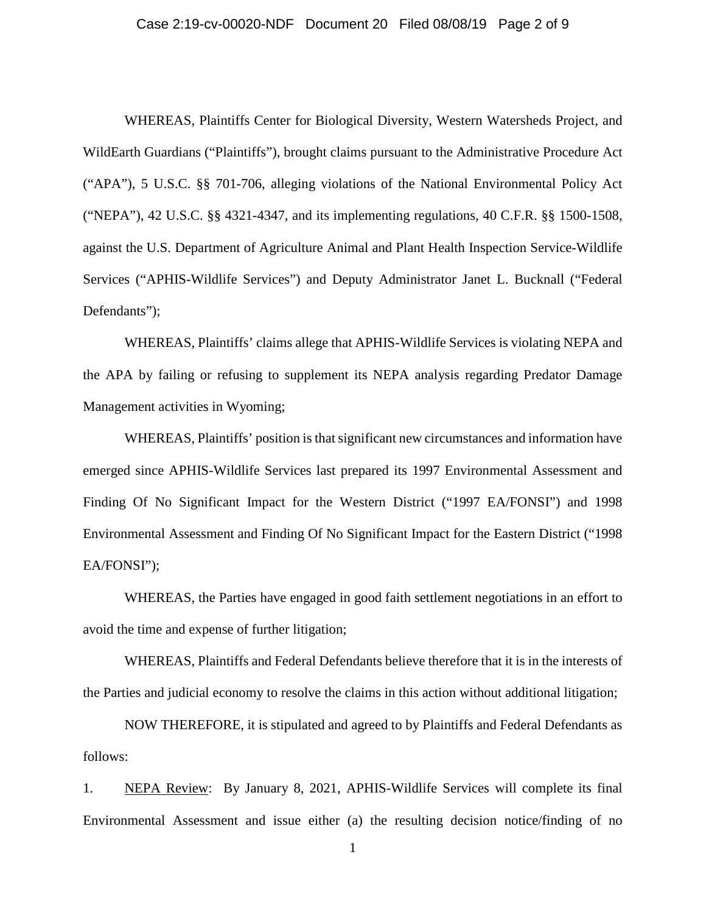### Case 2:19-cv-00020-NDF Document 20 Filed 08/08/19 Page 2 of 9

WHEREAS, Plaintiffs Center for Biological Diversity, Western Watersheds Project, and WildEarth Guardians ("Plaintiffs"), brought claims pursuant to the Administrative Procedure Act ("APA"), 5 U.S.C. §§ 701-706, alleging violations of the National Environmental Policy Act ("NEPA"), 42 U.S.C. §§ 4321-4347, and its implementing regulations, 40 C.F.R. §§ 1500-1508, against the U.S. Department of Agriculture Animal and Plant Health Inspection Service-Wildlife Services ("APHIS-Wildlife Services") and Deputy Administrator Janet L. Bucknall ("Federal Defendants");

WHEREAS, Plaintiffs' claims allege that APHIS-Wildlife Services is violating NEPA and the APA by failing or refusing to supplement its NEPA analysis regarding Predator Damage Management activities in Wyoming;

WHEREAS, Plaintiffs' position is that significant new circumstances and information have emerged since APHIS-Wildlife Services last prepared its 1997 Environmental Assessment and Finding Of No Significant Impact for the Western District ("1997 EA/FONSI") and 1998 Environmental Assessment and Finding Of No Significant Impact for the Eastern District ("1998 EA/FONSI");

WHEREAS, the Parties have engaged in good faith settlement negotiations in an effort to avoid the time and expense of further litigation;

WHEREAS, Plaintiffs and Federal Defendants believe therefore that it is in the interests of the Parties and judicial economy to resolve the claims in this action without additional litigation;

NOW THEREFORE, it is stipulated and agreed to by Plaintiffs and Federal Defendants as follows:

1. NEPA Review: By January 8, 2021, APHIS-Wildlife Services will complete its final Environmental Assessment and issue either (a) the resulting decision notice/finding of no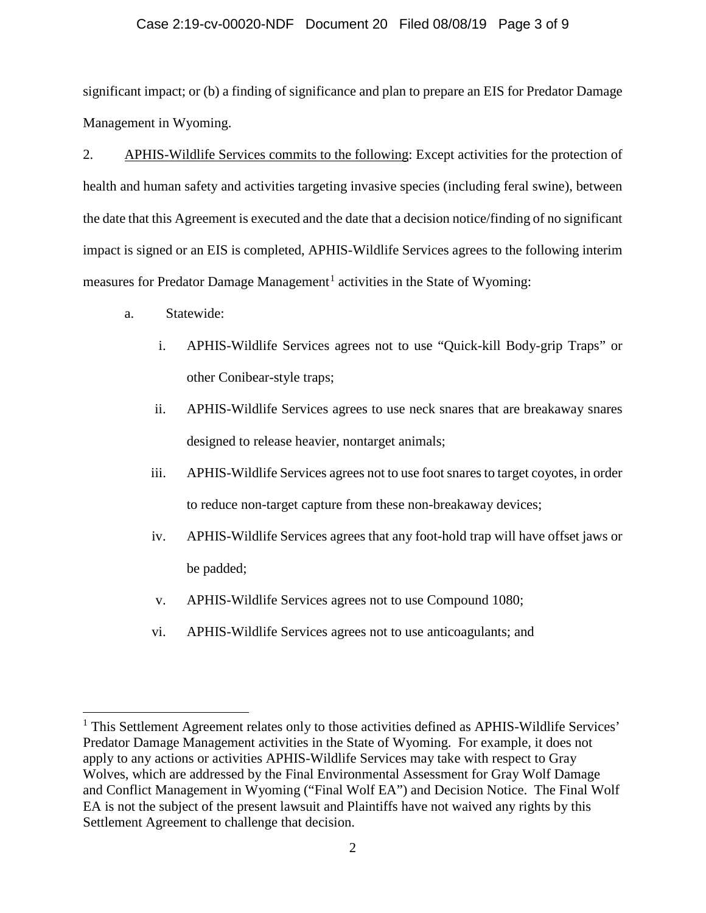## Case 2:19-cv-00020-NDF Document 20 Filed 08/08/19 Page 3 of 9

significant impact; or (b) a finding of significance and plan to prepare an EIS for Predator Damage Management in Wyoming.

2. APHIS-Wildlife Services commits to the following: Except activities for the protection of health and human safety and activities targeting invasive species (including feral swine), between the date that this Agreement is executed and the date that a decision notice/finding of no significant impact is signed or an EIS is completed, APHIS-Wildlife Services agrees to the following interim measures for Predator Damage Management<sup>1</sup> activities in the State of Wyoming:

a. Statewide:

l

- i. APHIS-Wildlife Services agrees not to use "Quick-kill Body-grip Traps" or other Conibear-style traps;
- ii. APHIS-Wildlife Services agrees to use neck snares that are breakaway snares designed to release heavier, nontarget animals;
- iii. APHIS-Wildlife Services agrees not to use foot snares to target coyotes, in order to reduce non-target capture from these non-breakaway devices;
- iv. APHIS-Wildlife Services agrees that any foot-hold trap will have offset jaws or be padded;
- v. APHIS-Wildlife Services agrees not to use Compound 1080;
- vi. APHIS-Wildlife Services agrees not to use anticoagulants; and

<sup>&</sup>lt;sup>1</sup> This Settlement Agreement relates only to those activities defined as APHIS-Wildlife Services' Predator Damage Management activities in the State of Wyoming. For example, it does not apply to any actions or activities APHIS-Wildlife Services may take with respect to Gray Wolves, which are addressed by the Final Environmental Assessment for Gray Wolf Damage and Conflict Management in Wyoming ("Final Wolf EA") and Decision Notice. The Final Wolf EA is not the subject of the present lawsuit and Plaintiffs have not waived any rights by this Settlement Agreement to challenge that decision.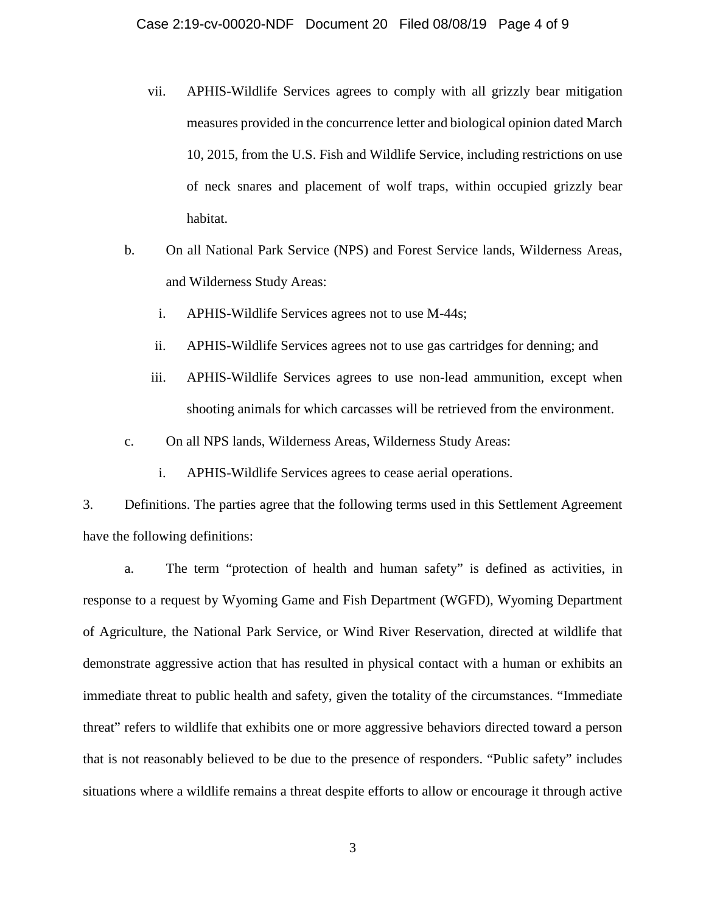- vii. APHIS-Wildlife Services agrees to comply with all grizzly bear mitigation measures provided in the concurrence letter and biological opinion dated March 10, 2015, from the U.S. Fish and Wildlife Service, including restrictions on use of neck snares and placement of wolf traps, within occupied grizzly bear habitat.
- b. On all National Park Service (NPS) and Forest Service lands, Wilderness Areas, and Wilderness Study Areas:
	- i. APHIS-Wildlife Services agrees not to use M-44s;
	- ii. APHIS-Wildlife Services agrees not to use gas cartridges for denning; and
	- iii. APHIS-Wildlife Services agrees to use non-lead ammunition, except when shooting animals for which carcasses will be retrieved from the environment.
- c. On all NPS lands, Wilderness Areas, Wilderness Study Areas:
	- i. APHIS-Wildlife Services agrees to cease aerial operations.

3. Definitions. The parties agree that the following terms used in this Settlement Agreement have the following definitions:

a. The term "protection of health and human safety" is defined as activities, in response to a request by Wyoming Game and Fish Department (WGFD), Wyoming Department of Agriculture, the National Park Service, or Wind River Reservation, directed at wildlife that demonstrate aggressive action that has resulted in physical contact with a human or exhibits an immediate threat to public health and safety, given the totality of the circumstances. "Immediate threat" refers to wildlife that exhibits one or more aggressive behaviors directed toward a person that is not reasonably believed to be due to the presence of responders. "Public safety" includes situations where a wildlife remains a threat despite efforts to allow or encourage it through active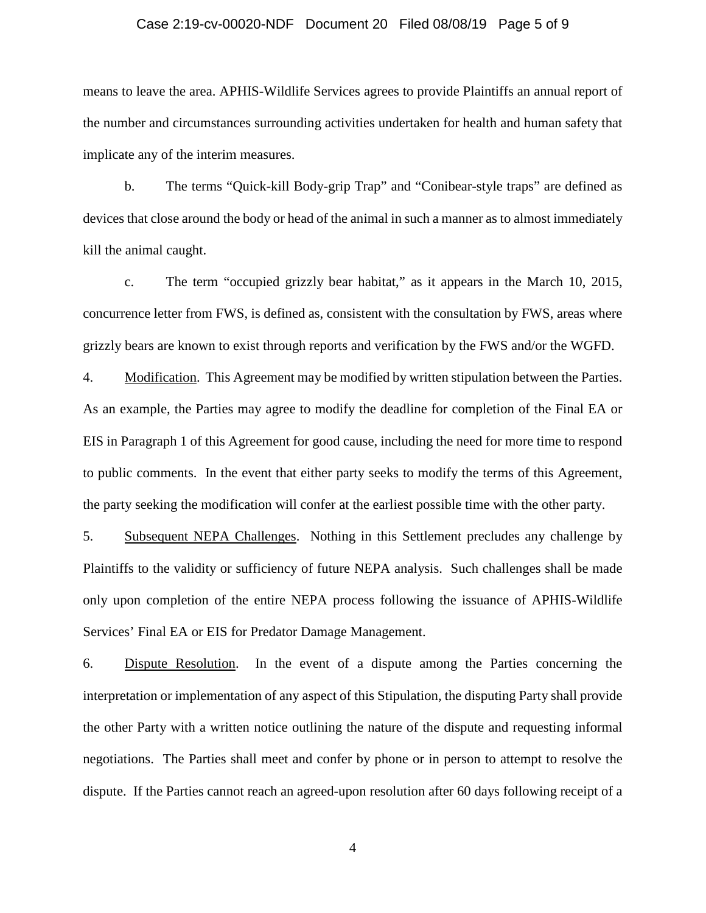### Case 2:19-cv-00020-NDF Document 20 Filed 08/08/19 Page 5 of 9

means to leave the area. APHIS-Wildlife Services agrees to provide Plaintiffs an annual report of the number and circumstances surrounding activities undertaken for health and human safety that implicate any of the interim measures.

b. The terms "Quick-kill Body-grip Trap" and "Conibear-style traps" are defined as devices that close around the body or head of the animal in such a manner as to almost immediately kill the animal caught.

c. The term "occupied grizzly bear habitat," as it appears in the March 10, 2015, concurrence letter from FWS, is defined as, consistent with the consultation by FWS, areas where grizzly bears are known to exist through reports and verification by the FWS and/or the WGFD.

4. Modification. This Agreement may be modified by written stipulation between the Parties. As an example, the Parties may agree to modify the deadline for completion of the Final EA or EIS in Paragraph 1 of this Agreement for good cause, including the need for more time to respond to public comments. In the event that either party seeks to modify the terms of this Agreement, the party seeking the modification will confer at the earliest possible time with the other party.

5. Subsequent NEPA Challenges. Nothing in this Settlement precludes any challenge by Plaintiffs to the validity or sufficiency of future NEPA analysis. Such challenges shall be made only upon completion of the entire NEPA process following the issuance of APHIS-Wildlife Services' Final EA or EIS for Predator Damage Management.

6. Dispute Resolution. In the event of a dispute among the Parties concerning the interpretation or implementation of any aspect of this Stipulation, the disputing Party shall provide the other Party with a written notice outlining the nature of the dispute and requesting informal negotiations. The Parties shall meet and confer by phone or in person to attempt to resolve the dispute. If the Parties cannot reach an agreed-upon resolution after 60 days following receipt of a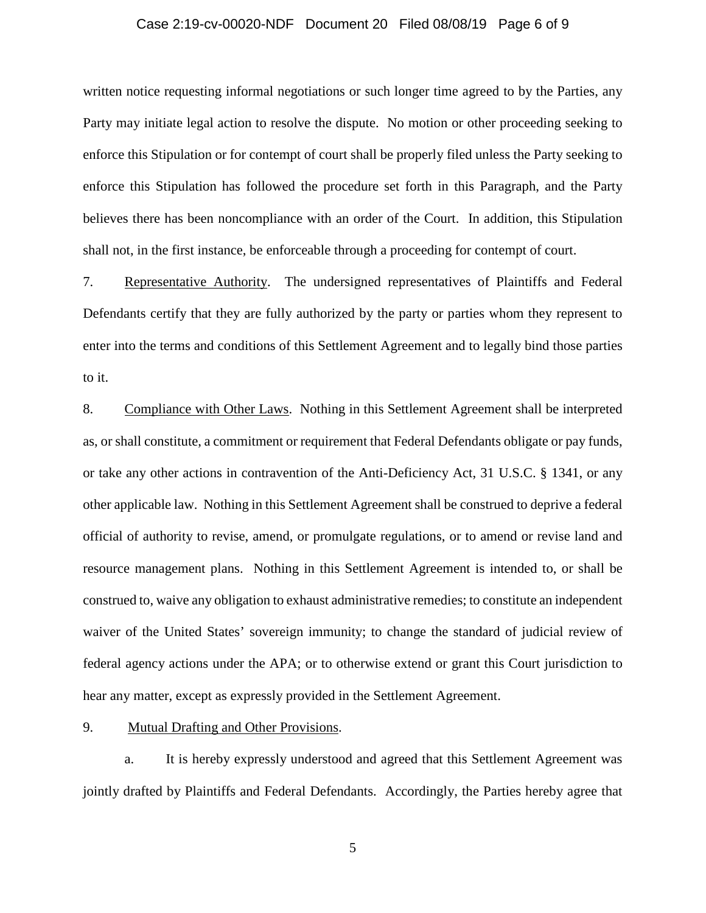### Case 2:19-cv-00020-NDF Document 20 Filed 08/08/19 Page 6 of 9

written notice requesting informal negotiations or such longer time agreed to by the Parties, any Party may initiate legal action to resolve the dispute. No motion or other proceeding seeking to enforce this Stipulation or for contempt of court shall be properly filed unless the Party seeking to enforce this Stipulation has followed the procedure set forth in this Paragraph, and the Party believes there has been noncompliance with an order of the Court. In addition, this Stipulation shall not, in the first instance, be enforceable through a proceeding for contempt of court.

7. Representative Authority. The undersigned representatives of Plaintiffs and Federal Defendants certify that they are fully authorized by the party or parties whom they represent to enter into the terms and conditions of this Settlement Agreement and to legally bind those parties to it.

8. Compliance with Other Laws. Nothing in this Settlement Agreement shall be interpreted as, or shall constitute, a commitment or requirement that Federal Defendants obligate or pay funds, or take any other actions in contravention of the Anti-Deficiency Act, 31 U.S.C. § 1341, or any other applicable law. Nothing in this Settlement Agreement shall be construed to deprive a federal official of authority to revise, amend, or promulgate regulations, or to amend or revise land and resource management plans. Nothing in this Settlement Agreement is intended to, or shall be construed to, waive any obligation to exhaust administrative remedies; to constitute an independent waiver of the United States' sovereign immunity; to change the standard of judicial review of federal agency actions under the APA; or to otherwise extend or grant this Court jurisdiction to hear any matter, except as expressly provided in the Settlement Agreement.

9. Mutual Drafting and Other Provisions.

a. It is hereby expressly understood and agreed that this Settlement Agreement was jointly drafted by Plaintiffs and Federal Defendants. Accordingly, the Parties hereby agree that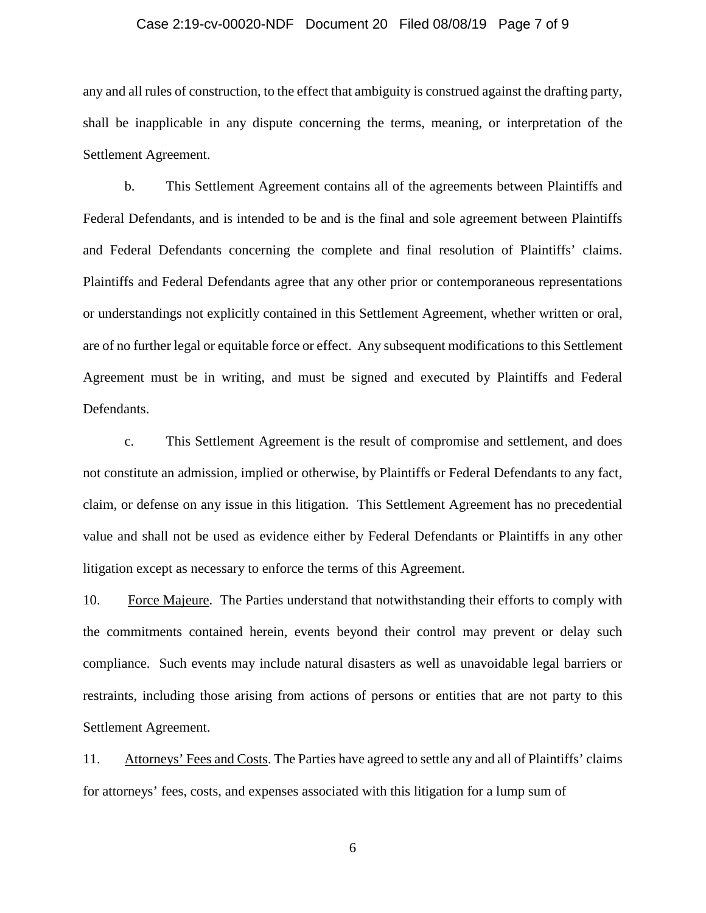### Case 2:19-cv-00020-NDF Document 20 Filed 08/08/19 Page 7 of 9

any and all rules of construction, to the effect that ambiguity is construed against the drafting party, shall be inapplicable in any dispute concerning the terms, meaning, or interpretation of the Settlement Agreement.

b. This Settlement Agreement contains all of the agreements between Plaintiffs and Federal Defendants, and is intended to be and is the final and sole agreement between Plaintiffs and Federal Defendants concerning the complete and final resolution of Plaintiffs' claims. Plaintiffs and Federal Defendants agree that any other prior or contemporaneous representations or understandings not explicitly contained in this Settlement Agreement, whether written or oral, are of no further legal or equitable force or effect. Any subsequent modifications to this Settlement Agreement must be in writing, and must be signed and executed by Plaintiffs and Federal Defendants.

c. This Settlement Agreement is the result of compromise and settlement, and does not constitute an admission, implied or otherwise, by Plaintiffs or Federal Defendants to any fact, claim, or defense on any issue in this litigation. This Settlement Agreement has no precedential value and shall not be used as evidence either by Federal Defendants or Plaintiffs in any other litigation except as necessary to enforce the terms of this Agreement.

10. Force Majeure. The Parties understand that notwithstanding their efforts to comply with the commitments contained herein, events beyond their control may prevent or delay such compliance. Such events may include natural disasters as well as unavoidable legal barriers or restraints, including those arising from actions of persons or entities that are not party to this Settlement Agreement.

11. Attorneys' Fees and Costs. The Parties have agreed to settle any and all of Plaintiffs' claims for attorneys' fees, costs, and expenses associated with this litigation for a lump sum of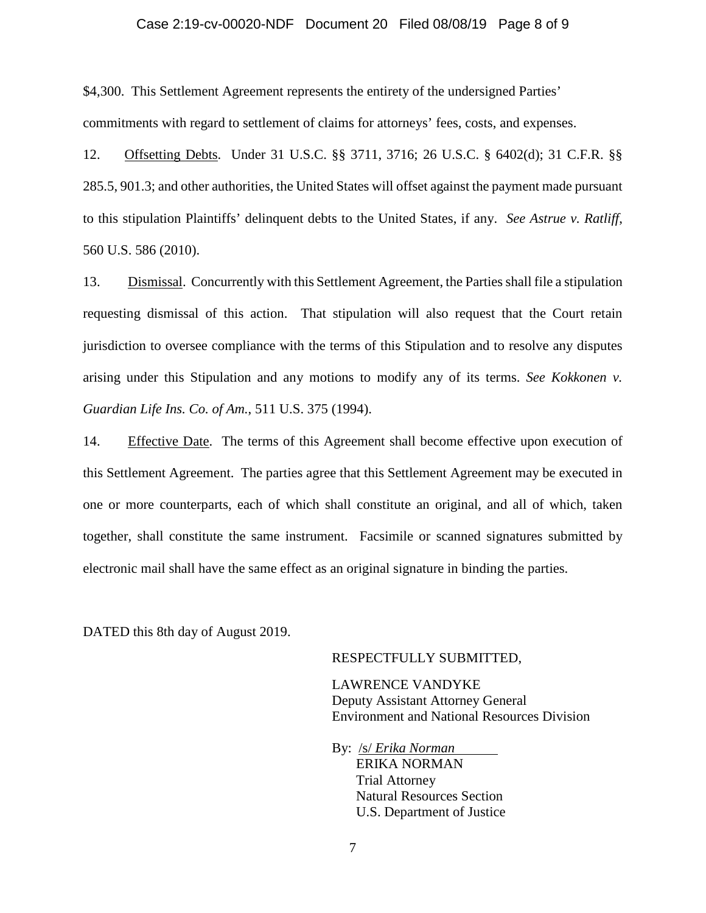#### Case 2:19-cv-00020-NDF Document 20 Filed 08/08/19 Page 8 of 9

\$4,300. This Settlement Agreement represents the entirety of the undersigned Parties' commitments with regard to settlement of claims for attorneys' fees, costs, and expenses.

12. Offsetting Debts. Under 31 U.S.C. §§ 3711, 3716; 26 U.S.C. § 6402(d); 31 C.F.R. §§ 285.5, 901.3; and other authorities, the United States will offset against the payment made pursuant to this stipulation Plaintiffs' delinquent debts to the United States, if any. *See Astrue v. Ratliff*, 560 U.S. 586 (2010).

13. Dismissal. Concurrently with this Settlement Agreement, the Parties shall file a stipulation requesting dismissal of this action. That stipulation will also request that the Court retain jurisdiction to oversee compliance with the terms of this Stipulation and to resolve any disputes arising under this Stipulation and any motions to modify any of its terms. *See Kokkonen v. Guardian Life Ins. Co. of Am.*, 511 U.S. 375 (1994).

14. Effective Date. The terms of this Agreement shall become effective upon execution of this Settlement Agreement. The parties agree that this Settlement Agreement may be executed in one or more counterparts, each of which shall constitute an original, and all of which, taken together, shall constitute the same instrument. Facsimile or scanned signatures submitted by electronic mail shall have the same effect as an original signature in binding the parties.

DATED this 8th day of August 2019.

#### RESPECTFULLY SUBMITTED,

LAWRENCE VANDYKE Deputy Assistant Attorney General Environment and National Resources Division

By: /s/ *Erika Norman* ERIKA NORMAN Trial Attorney Natural Resources Section U.S. Department of Justice